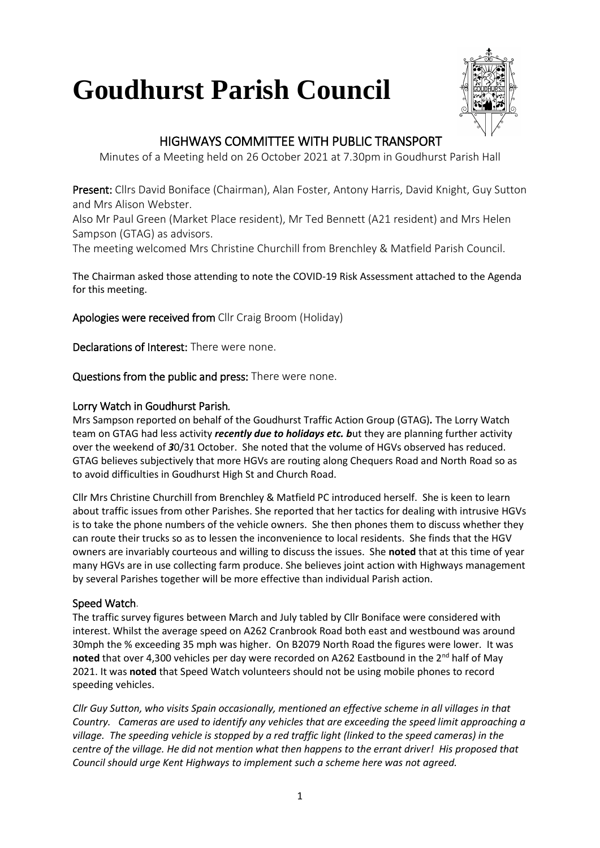# **Goudhurst Parish Council**



## HIGHWAYS COMMITTEE WITH PUBLIC TRANSPORT

Minutes of a Meeting held on 26 October 2021 at 7.30pm in Goudhurst Parish Hall

Present: Cllrs David Boniface (Chairman), Alan Foster, Antony Harris, David Knight, Guy Sutton and Mrs Alison Webster.

Also Mr Paul Green (Market Place resident), Mr Ted Bennett (A21 resident) and Mrs Helen Sampson (GTAG) as advisors.

The meeting welcomed Mrs Christine Churchill from Brenchley & Matfield Parish Council.

The Chairman asked those attending to note the COVID-19 Risk Assessment attached to the Agenda for this meeting.

Apologies were received from Cllr Craig Broom (Holiday)

Declarations of Interest: There were none.

Questions from the public and press: There were none.

#### Lorry Watch in Goudhurst Parish*.*

Mrs Sampson reported on behalf of the Goudhurst Traffic Action Group (GTAG)*.* The Lorry Watch team on GTAG had less activity *recently due to holidays etc. b*ut they are planning further activity over the weekend of *3*0/31 October. She noted that the volume of HGVs observed has reduced. GTAG believes subjectively that more HGVs are routing along Chequers Road and North Road so as to avoid difficulties in Goudhurst High St and Church Road.

Cllr Mrs Christine Churchill from Brenchley & Matfield PC introduced herself. She is keen to learn about traffic issues from other Parishes. She reported that her tactics for dealing with intrusive HGVs is to take the phone numbers of the vehicle owners. She then phones them to discuss whether they can route their trucks so as to lessen the inconvenience to local residents. She finds that the HGV owners are invariably courteous and willing to discuss the issues. She **noted** that at this time of year many HGVs are in use collecting farm produce. She believes joint action with Highways management by several Parishes together will be more effective than individual Parish action.

#### Speed Watch.

The traffic survey figures between March and July tabled by Cllr Boniface were considered with interest. Whilst the average speed on A262 Cranbrook Road both east and westbound was around 30mph the % exceeding 35 mph was higher. On B2079 North Road the figures were lower. It was **noted** that over 4,300 vehicles per day were recorded on A262 Eastbound in the 2<sup>nd</sup> half of May 2021. It was **noted** that Speed Watch volunteers should not be using mobile phones to record speeding vehicles.

*Cllr Guy Sutton, who visits Spain occasionally, mentioned an effective scheme in all villages in that Country. Cameras are used to identify any vehicles that are exceeding the speed limit approaching a village. The speeding vehicle is stopped by a red traffic light (linked to the speed cameras) in the centre of the village. He did not mention what then happens to the errant driver! His proposed that Council should urge Kent Highways to implement such a scheme here was not agreed.*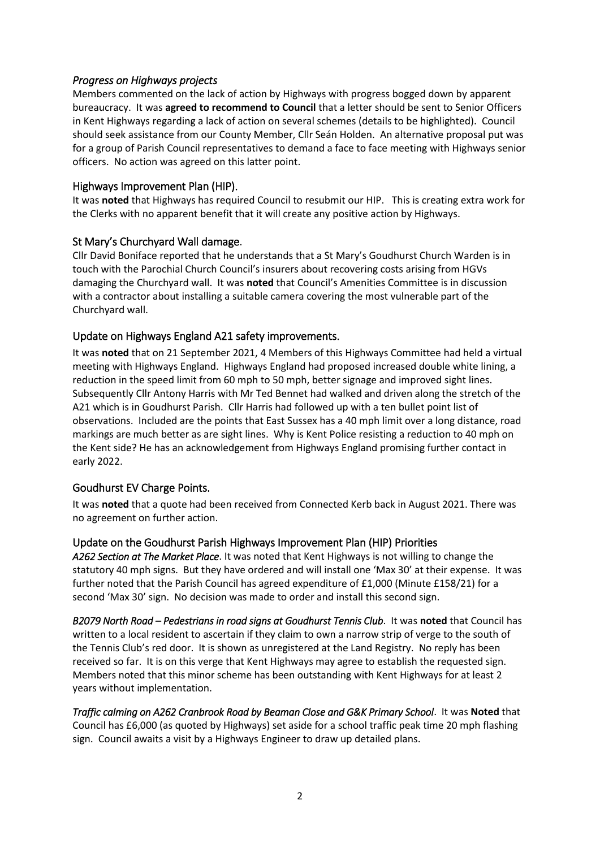#### *Progress on Highways projects*

Members commented on the lack of action by Highways with progress bogged down by apparent bureaucracy. It was **agreed to recommend to Council** that a letter should be sent to Senior Officers in Kent Highways regarding a lack of action on several schemes (details to be highlighted). Council should seek assistance from our County Member, Cllr Seán Holden. An alternative proposal put was for a group of Parish Council representatives to demand a face to face meeting with Highways senior officers. No action was agreed on this latter point.

#### Highways Improvement Plan (HIP).

It was **noted** that Highways has required Council to resubmit our HIP. This is creating extra work for the Clerks with no apparent benefit that it will create any positive action by Highways.

#### St Mary's Churchyard Wall damage.

Cllr David Boniface reported that he understands that a St Mary's Goudhurst Church Warden is in touch with the Parochial Church Council's insurers about recovering costs arising from HGVs damaging the Churchyard wall. It was **noted** that Council's Amenities Committee is in discussion with a contractor about installing a suitable camera covering the most vulnerable part of the Churchyard wall.

#### Update on Highways England A21 safety improvements.

It was **noted** that on 21 September 2021, 4 Members of this Highways Committee had held a virtual meeting with Highways England. Highways England had proposed increased double white lining, a reduction in the speed limit from 60 mph to 50 mph, better signage and improved sight lines. Subsequently Cllr Antony Harris with Mr Ted Bennet had walked and driven along the stretch of the A21 which is in Goudhurst Parish. Cllr Harris had followed up with a ten bullet point list of observations. Included are the points that East Sussex has a 40 mph limit over a long distance, road markings are much better as are sight lines. Why is Kent Police resisting a reduction to 40 mph on the Kent side? He has an acknowledgement from Highways England promising further contact in early 2022.

#### Goudhurst EV Charge Points.

It was **noted** that a quote had been received from Connected Kerb back in August 2021. There was no agreement on further action.

#### Update on the Goudhurst Parish Highways Improvement Plan (HIP) Priorities

*A262 Section at The Market Place*. It was noted that Kent Highways is not willing to change the statutory 40 mph signs. But they have ordered and will install one 'Max 30' at their expense. It was further noted that the Parish Council has agreed expenditure of £1,000 (Minute £158/21) for a second 'Max 30' sign. No decision was made to order and install this second sign.

*B2079 North Road – Pedestrians in road signs at Goudhurst Tennis Club*. It was **noted** that Council has written to a local resident to ascertain if they claim to own a narrow strip of verge to the south of the Tennis Club's red door. It is shown as unregistered at the Land Registry. No reply has been received so far. It is on this verge that Kent Highways may agree to establish the requested sign. Members noted that this minor scheme has been outstanding with Kent Highways for at least 2 years without implementation.

*Traffic calming on A262 Cranbrook Road by Beaman Close and G&K Primary School*. It was **Noted** that Council has £6,000 (as quoted by Highways) set aside for a school traffic peak time 20 mph flashing sign. Council awaits a visit by a Highways Engineer to draw up detailed plans.